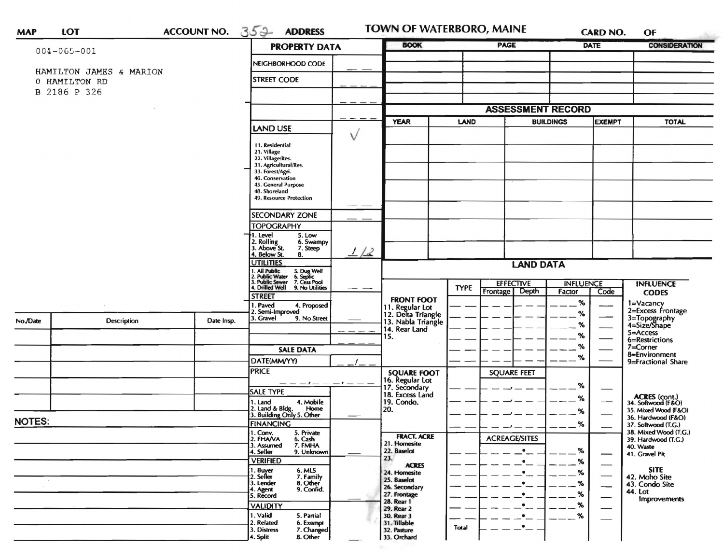| LOT<br><b>MAP</b> |
|-------------------|
|-------------------|

ACCOUNT NO. 352 ADDRESS

TOWN OF WATERBORO, MAINE

CARD NO.

 $OF$ 

| $004 - 065 - 001$                        |                                           | <b>PROPERTY DATA</b>                                                                                                      |    | <b>BOOK</b>                                                 | <b>PAGE</b>                                          | <b>DATE</b>                |               | <b>CONSIDERATION</b>                                        |  |  |
|------------------------------------------|-------------------------------------------|---------------------------------------------------------------------------------------------------------------------------|----|-------------------------------------------------------------|------------------------------------------------------|----------------------------|---------------|-------------------------------------------------------------|--|--|
|                                          | NEIGHBORHOOD CODE                         |                                                                                                                           |    |                                                             |                                                      |                            |               |                                                             |  |  |
| HAMILTON JAMES & MARION<br>0 HAMILTON RD | <b>STREET CODE</b>                        |                                                                                                                           |    |                                                             |                                                      |                            |               |                                                             |  |  |
| B 2186 P 326                             |                                           |                                                                                                                           |    |                                                             |                                                      |                            |               |                                                             |  |  |
|                                          |                                           |                                                                                                                           |    |                                                             |                                                      | <b>ASSESSMENT RECORD</b>   |               |                                                             |  |  |
|                                          |                                           |                                                                                                                           |    | <b>YEAR</b>                                                 | <b>TOTAL</b>                                         |                            |               |                                                             |  |  |
|                                          |                                           | <b>LAND USE</b>                                                                                                           |    |                                                             | <b>LAND</b>                                          | <b>BUILDINGS</b>           | <b>EXEMPT</b> |                                                             |  |  |
|                                          |                                           | 11. Residential                                                                                                           | V  |                                                             |                                                      |                            |               |                                                             |  |  |
|                                          |                                           | 21. Village<br>22. Village/Res.                                                                                           |    |                                                             |                                                      |                            |               |                                                             |  |  |
|                                          | 31. Agricultural/Res.<br>33. Forest/Agri. |                                                                                                                           |    |                                                             |                                                      |                            |               |                                                             |  |  |
|                                          | 40. Conservation<br>45. General Purpose   |                                                                                                                           |    |                                                             |                                                      |                            |               |                                                             |  |  |
|                                          |                                           | 48. Shoreland<br><b>49. Resource Protection</b>                                                                           |    |                                                             |                                                      |                            |               |                                                             |  |  |
|                                          |                                           |                                                                                                                           |    |                                                             |                                                      |                            |               |                                                             |  |  |
|                                          |                                           | <b>SECONDARY ZONE</b><br><b>TOPOGRAPHY</b>                                                                                |    |                                                             |                                                      |                            |               |                                                             |  |  |
|                                          |                                           | 1. Level<br>5. Low                                                                                                        |    |                                                             |                                                      |                            |               |                                                             |  |  |
|                                          |                                           | 2. Rolling<br>3. Above St.<br>6. Swampy<br>7. Steep                                                                       | 12 |                                                             |                                                      |                            |               |                                                             |  |  |
|                                          |                                           | 4. Below St.<br>8.<br><b>UTILITIES</b>                                                                                    |    | <b>LAND DATA</b>                                            |                                                      |                            |               |                                                             |  |  |
|                                          |                                           | 1. All Public 5. Dug Well<br>2. Public Water 6. Septic<br>3. Public Sewer 7. Cess Pool<br>4. Drilled Well 9. No Utilities |    |                                                             |                                                      |                            |               |                                                             |  |  |
|                                          |                                           |                                                                                                                           |    |                                                             | <b>EFFECTIVE</b><br><b>TYPE</b><br>Depth<br>Frontage | <b>INFLUENCE</b><br>Factor | Code          | <b>INFLUENCE</b><br><b>CODES</b>                            |  |  |
|                                          |                                           | <b>STREET</b><br>. Paved<br>4. Proposed                                                                                   |    | <b>FRONT FOOT</b>                                           |                                                      | %                          |               | 1=Vacancy<br>2=Excess Frontage                              |  |  |
|                                          |                                           | Semi-Improved<br>3. Gravel<br>9. No Street                                                                                |    | 11. Regular Lot<br>12. Delta Triangle<br>13. Nabla Triangle |                                                      | ℅                          |               |                                                             |  |  |
| No./Date<br>Description                  | Date Insp.                                |                                                                                                                           |    | 14. Rear Land                                               |                                                      | %                          |               | 3=Topography<br>4=Size/Shape<br>5=Access                    |  |  |
|                                          |                                           |                                                                                                                           |    | 15.                                                         |                                                      | %                          |               | 6=Restrictions                                              |  |  |
|                                          |                                           | <b>SALE DATA</b>                                                                                                          |    |                                                             |                                                      | %<br>%                     |               | 7=Corner<br>8=Environment                                   |  |  |
|                                          |                                           | DATE(MM/YY)<br><b>PRICE</b>                                                                                               |    |                                                             |                                                      |                            |               | 9=Fractional Share                                          |  |  |
|                                          |                                           | — — — / — — — / — — —                                                                                                     |    | <b>SQUARE FOOT</b><br>16. Regular Lot<br>17. Secondary      | <b>SQUARE FEET</b>                                   |                            |               |                                                             |  |  |
|                                          |                                           | <b>SALE TYPE</b>                                                                                                          |    | 18. Excess Land                                             |                                                      | %<br>%                     |               |                                                             |  |  |
|                                          |                                           | 4. Mobile<br>1. Land<br>Home                                                                                              |    | 19. Condo.<br>20.                                           |                                                      |                            |               | ACRES (cont.)<br>34. Softwood (F&O)<br>35. Mixed Wood (F&O) |  |  |
| <b>NOTES:</b>                            |                                           | 2. Land & Bldg. Home<br>3. Building Only 5. Other<br><b>FINANCING</b>                                                     |    |                                                             |                                                      | %<br>%                     |               | 36. Hardwood (F&O)<br>37. Softwood (T.G.)                   |  |  |
|                                          |                                           | I. Conv.<br>5. Private                                                                                                    |    | <b>FRACT. ACRE</b>                                          |                                                      |                            |               | 38. Mixed Wood (T.G.)                                       |  |  |
|                                          |                                           | 2. FHAVA<br>6. Cash<br>7. FMHA<br>3. Assumed                                                                              |    | 21. Homesite                                                | <b>ACREAGE/SITES</b>                                 | %                          |               | 39. Hardwood (T.G.)<br>40. Waste                            |  |  |
|                                          |                                           | 4. Seller<br>9. Unknown<br><b>VERIFIED</b>                                                                                |    | 22. Baselot<br>23.                                          |                                                      | _%                         |               | 41. Gravel Pit                                              |  |  |
|                                          |                                           | 1. Buyer<br>2. Seller<br>6. MLS                                                                                           |    | <b>ACRES</b><br>24. Homesite                                |                                                      | $\%$                       |               | <b>SITE</b>                                                 |  |  |
|                                          |                                           | 7. Family<br>8. Other<br>3. Lender<br>9. Confid.<br>4. Agent                                                              |    | 25. Baselot<br>26. Secondary                                | $\bullet$                                            | %                          |               | 42. Moho Site<br>43. Condo Site                             |  |  |
|                                          |                                           | 5. Record                                                                                                                 |    | 27. Frontage<br>28. Rear 1                                  | $\bullet$                                            | $\%$                       |               | 44. Lot<br>Improvements                                     |  |  |
|                                          |                                           | <b>VALIDITY</b><br>1. Valid<br>5. Partial                                                                                 |    | 29. Rear 2<br>30. Rear 3                                    | $\bullet$                                            | %                          |               |                                                             |  |  |
|                                          |                                           | 2. Related<br>6. Exempt                                                                                                   |    | 31. Tillable                                                | $\bullet$<br>$\cdot$ –<br>Total                      | %                          |               |                                                             |  |  |
|                                          |                                           | 7. Changed<br>3. Distress<br><b>B.</b> Other<br>4. Split                                                                  |    | 32. Pasture<br>33. Orchard                                  |                                                      |                            |               |                                                             |  |  |